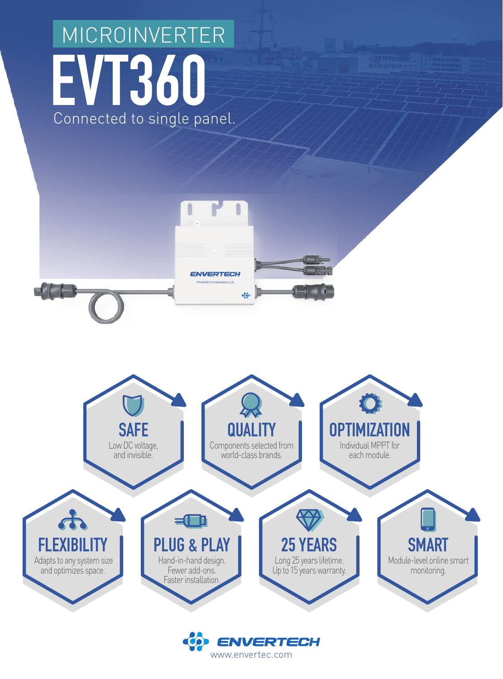## **EVT360**  Connected to single panel. MICROINVERTER





www.envertec.com

**ENVERTECH** 

 $\bullet$